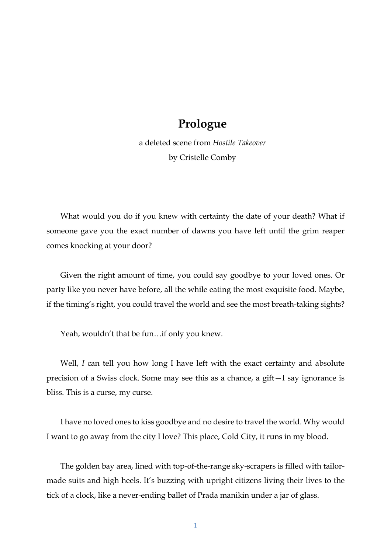## **Prologue**

a deleted scene from *Hostile Takeover* by Cristelle Comby

What would you do if you knew with certainty the date of your death? What if someone gave you the exact number of dawns you have left until the grim reaper comes knocking at your door?

Given the right amount of time, you could say goodbye to your loved ones. Or party like you never have before, all the while eating the most exquisite food. Maybe, if the timing's right, you could travel the world and see the most breath-taking sights?

Yeah, wouldn't that be fun…if only you knew.

Well, *I* can tell you how long I have left with the exact certainty and absolute precision of a Swiss clock. Some may see this as a chance, a gift—I say ignorance is bliss. This is a curse, my curse.

I have no loved ones to kiss goodbye and no desire to travel the world. Why would I want to go away from the city I love? This place, Cold City, it runs in my blood.

The golden bay area, lined with top-of-the-range sky-scrapers is filled with tailormade suits and high heels. It's buzzing with upright citizens living their lives to the tick of a clock, like a never-ending ballet of Prada manikin under a jar of glass.